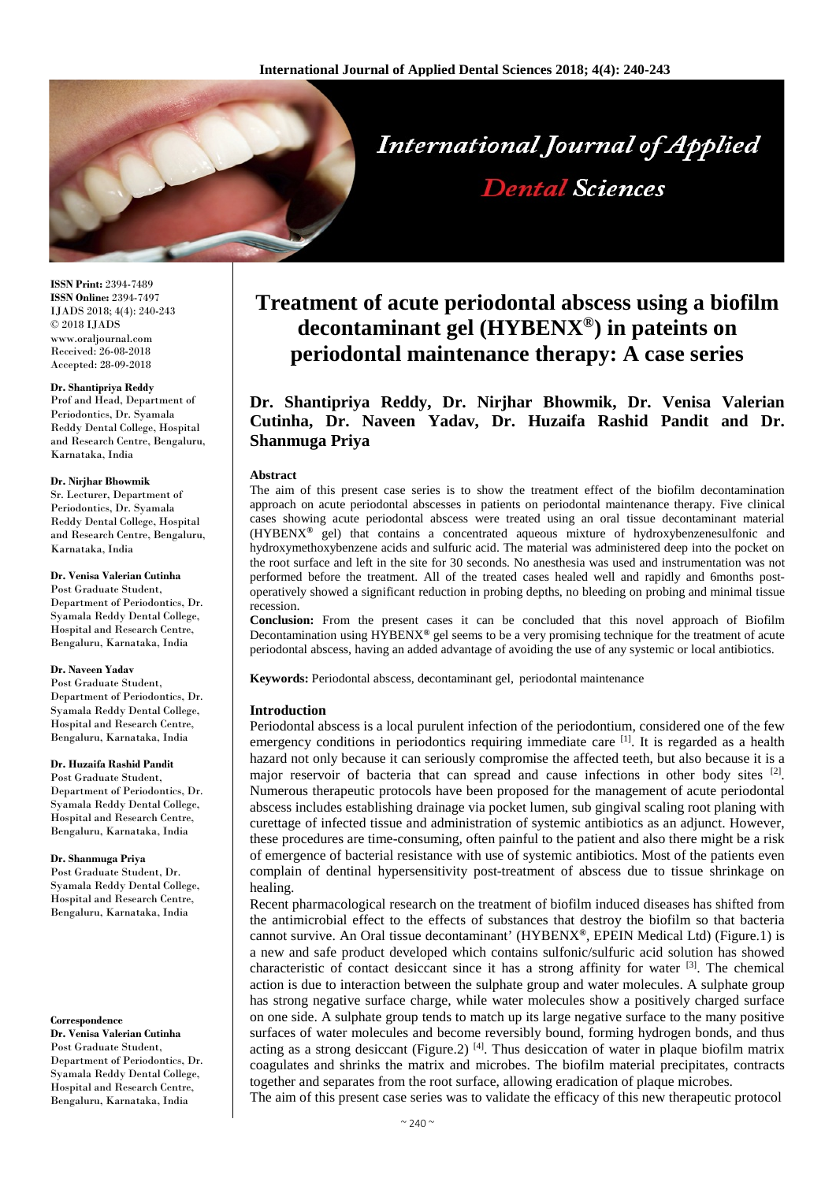

**ISSN Print:** 2394-7489 **ISSN Online:** 2394-7497 IJADS 2018; 4(4): 240-243 © 2018 IJADS www.oraljournal.com Received: 26-08-2018 Accepted: 28-09-2018

#### **Dr. Shantipriya Reddy**

Prof and Head, Department of Periodontics, Dr. Syamala Reddy Dental College, Hospital and Research Centre, Bengaluru, Karnataka, India

#### **Dr. Nirjhar Bhowmik**

Sr. Lecturer, Department of Periodontics, Dr. Syamala Reddy Dental College, Hospital and Research Centre, Bengaluru, Karnataka, India

## **Dr. Venisa Valerian Cutinha**

Post Graduate Student, Department of Periodontics, Dr. Syamala Reddy Dental College, Hospital and Research Centre, Bengaluru, Karnataka, India

## **Dr. Naveen Yadav**

Post Graduate Student, Department of Periodontics, Dr. Syamala Reddy Dental College, Hospital and Research Centre, Bengaluru, Karnataka, India

## **Dr. Huzaifa Rashid Pandit**

Post Graduate Student, Department of Periodontics, Dr. Syamala Reddy Dental College, Hospital and Research Centre, Bengaluru, Karnataka, India

## **Dr. Shanmuga Priya**

Post Graduate Student, Dr. Syamala Reddy Dental College, Hospital and Research Centre, Bengaluru, Karnataka, India

#### **Correspondence**

**Dr. Venisa Valerian Cutinha** Post Graduate Student, Department of Periodontics, Dr. Syamala Reddy Dental College, Hospital and Research Centre, Bengaluru, Karnataka, India

# **Treatment of acute periodontal abscess using a biofilm decontaminant gel (HYBENX®) in pateints on periodontal maintenance therapy: A case series**

**Dr. Shantipriya Reddy, Dr. Nirjhar Bhowmik, Dr. Venisa Valerian Cutinha, Dr. Naveen Yadav, Dr. Huzaifa Rashid Pandit and Dr. Shanmuga Priya**

## **Abstract**

The aim of this present case series is to show the treatment effect of the biofilm decontamination approach on acute periodontal abscesses in patients on periodontal maintenance therapy. Five clinical cases showing acute periodontal abscess were treated using an oral tissue decontaminant material (HYBENX**®** gel) that contains a concentrated aqueous mixture of hydroxybenzenesulfonic and hydroxymethoxybenzene acids and sulfuric acid. The material was administered deep into the pocket on the root surface and left in the site for 30 seconds. No anesthesia was used and instrumentation was not performed before the treatment. All of the treated cases healed well and rapidly and 6months postoperatively showed a significant reduction in probing depths, no bleeding on probing and minimal tissue recession.

**Conclusion:** From the present cases it can be concluded that this novel approach of Biofilm Decontamination using HYBENX**®** gel seems to be a very promising technique for the treatment of acute periodontal abscess, having an added advantage of avoiding the use of any systemic or local antibiotics.

**Keywords:** Periodontal abscess, d**e**contaminant gel, periodontal maintenance

## **Introduction**

Periodontal abscess is a local purulent infection of the periodontium, considered one of the few emergency conditions in periodontics requiring immediate care <sup>[1]</sup>. It is regarded as a health hazard not only because it can seriously compromise the affected teeth, but also because it is a major reservoir of bacteria that can spread and cause infections in other body sites [2]. Numerous therapeutic protocols have been proposed for the management of acute periodontal abscess includes establishing drainage via pocket lumen, sub gingival scaling root planing with curettage of infected tissue and administration of systemic antibiotics as an adjunct. However, these procedures are time-consuming, often painful to the patient and also there might be a risk of emergence of bacterial resistance with use of systemic antibiotics. Most of the patients even complain of dentinal hypersensitivity post-treatment of abscess due to tissue shrinkage on healing.

Recent pharmacological research on the treatment of biofilm induced diseases has shifted from the antimicrobial effect to the effects of substances that destroy the biofilm so that bacteria cannot survive. An Oral tissue decontaminant' (HYBENX**®**, EPEIN Medical Ltd) (Figure.1) is a new and safe product developed which contains sulfonic/sulfuric acid solution has showed characteristic of contact desiccant since it has a strong affinity for water <sup>[3]</sup>. The chemical action is due to interaction between the sulphate group and water molecules. A sulphate group has strong negative surface charge, while water molecules show a positively charged surface on one side. A sulphate group tends to match up its large negative surface to the many positive surfaces of water molecules and become reversibly bound, forming hydrogen bonds, and thus acting as a strong desiccant (Figure.2)<sup>[4]</sup>. Thus desiccation of water in plaque biofilm matrix coagulates and shrinks the matrix and microbes. The biofilm material precipitates, contracts together and separates from the root surface, allowing eradication of plaque microbes. The aim of this present case series was to validate the efficacy of this new therapeutic protocol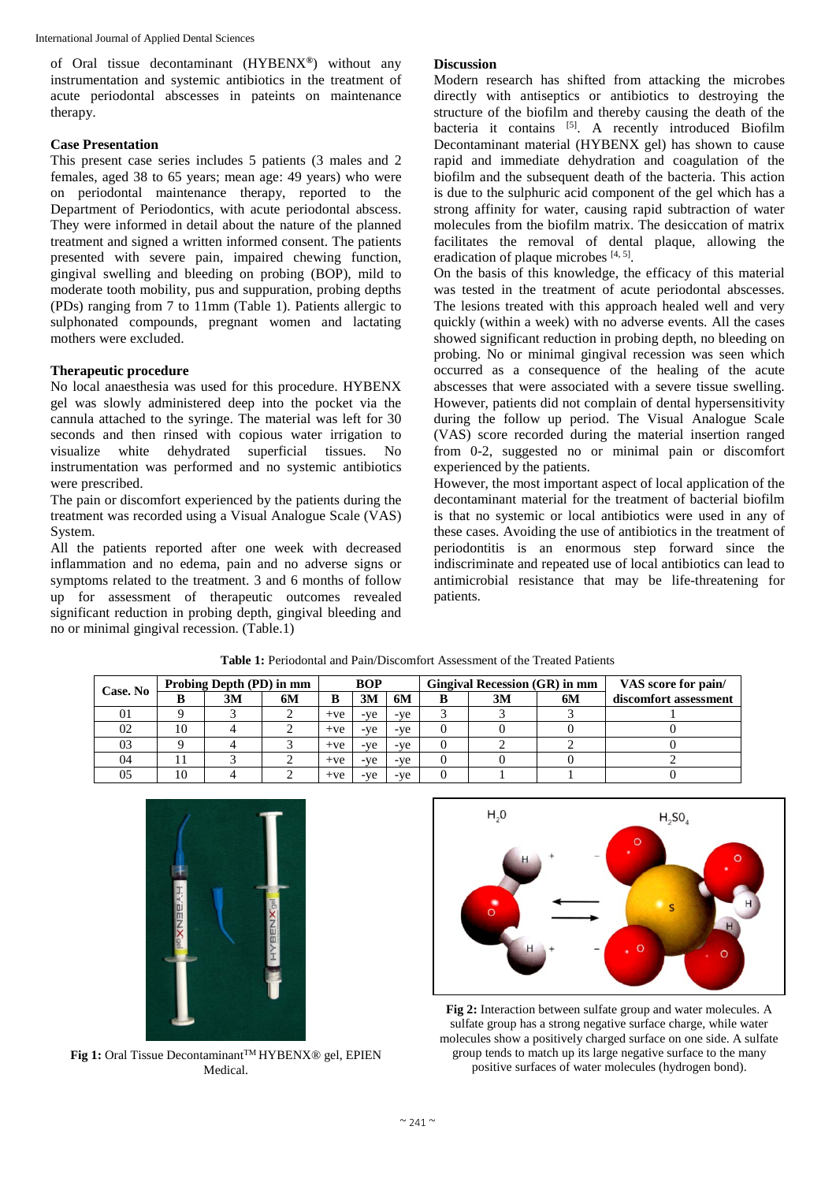of Oral tissue decontaminant (HYBENX**®**) without any instrumentation and systemic antibiotics in the treatment of acute periodontal abscesses in pateints on maintenance therapy.

# **Case Presentation**

This present case series includes 5 patients (3 males and 2 females, aged 38 to 65 years; mean age: 49 years) who were on periodontal maintenance therapy, reported to the Department of Periodontics, with acute periodontal abscess. They were informed in detail about the nature of the planned treatment and signed a written informed consent. The patients presented with severe pain, impaired chewing function, gingival swelling and bleeding on probing (BOP), mild to moderate tooth mobility, pus and suppuration, probing depths (PDs) ranging from 7 to 11mm (Table 1). Patients allergic to sulphonated compounds, pregnant women and lactating mothers were excluded.

# **Therapeutic procedure**

No local anaesthesia was used for this procedure. HYBENX gel was slowly administered deep into the pocket via the cannula attached to the syringe. The material was left for 30 seconds and then rinsed with copious water irrigation to visualize white dehydrated superficial tissues. No instrumentation was performed and no systemic antibiotics were prescribed.

The pain or discomfort experienced by the patients during the treatment was recorded using a Visual Analogue Scale (VAS) System.

All the patients reported after one week with decreased inflammation and no edema, pain and no adverse signs or symptoms related to the treatment. 3 and 6 months of follow up for assessment of therapeutic outcomes revealed significant reduction in probing depth, gingival bleeding and no or minimal gingival recession. (Table.1)

# **Discussion**

Modern research has shifted from attacking the microbes directly with antiseptics or antibiotics to destroying the structure of the biofilm and thereby causing the death of the bacteria it contains <sup>[5]</sup>. A recently introduced Biofilm Decontaminant material (HYBENX gel) has shown to cause rapid and immediate dehydration and coagulation of the biofilm and the subsequent death of the bacteria. This action is due to the sulphuric acid component of the gel which has a strong affinity for water, causing rapid subtraction of water molecules from the biofilm matrix. The desiccation of matrix facilitates the removal of dental plaque, allowing the eradication of plaque microbes [4, 5].

On the basis of this knowledge, the efficacy of this material was tested in the treatment of acute periodontal abscesses. The lesions treated with this approach healed well and very quickly (within a week) with no adverse events. All the cases showed significant reduction in probing depth, no bleeding on probing. No or minimal gingival recession was seen which occurred as a consequence of the healing of the acute abscesses that were associated with a severe tissue swelling. However, patients did not complain of dental hypersensitivity during the follow up period. The Visual Analogue Scale (VAS) score recorded during the material insertion ranged from 0-2, suggested no or minimal pain or discomfort experienced by the patients.

However, the most important aspect of local application of the decontaminant material for the treatment of bacterial biofilm is that no systemic or local antibiotics were used in any of these cases. Avoiding the use of antibiotics in the treatment of periodontitis is an enormous step forward since the indiscriminate and repeated use of local antibiotics can lead to antimicrobial resistance that may be life-threatening for patients.

| Case. No | Probing Depth (PD) in mm |    |    | <b>BOP</b> |     |       | Gingival Recession (GR) in mm |    |    | VAS score for pain/   |
|----------|--------------------------|----|----|------------|-----|-------|-------------------------------|----|----|-----------------------|
|          |                          | 3M | 6M | B          | 3M  | 6M    |                               | 3M | 6M | discomfort assessment |
| 01       |                          |    |    | $+ve$      | -ve | -ve   |                               |    |    |                       |
| 02       | 10                       |    |    | $+ve$      | -ve | -ve   |                               |    |    |                       |
| 03       |                          |    |    | $+ve$      | -ve | -ve   |                               |    |    |                       |
| 04       |                          |    |    | $+ve$      | -ve | $-ve$ |                               |    |    |                       |
| 05       | 10                       |    |    | $+ve$      | -ve | -ve   |                               |    |    |                       |

**Table 1:** Periodontal and Pain/Discomfort Assessment of the Treated Patients



**Fig 1:** Oral Tissue Decontaminant™ HYBENX<sup>®</sup> gel, EPIEN Medical.



**Fig 2:** Interaction between sulfate group and water molecules. A sulfate group has a strong negative surface charge, while water molecules show a positively charged surface on one side. A sulfate group tends to match up its large negative surface to the many positive surfaces of water molecules (hydrogen bond).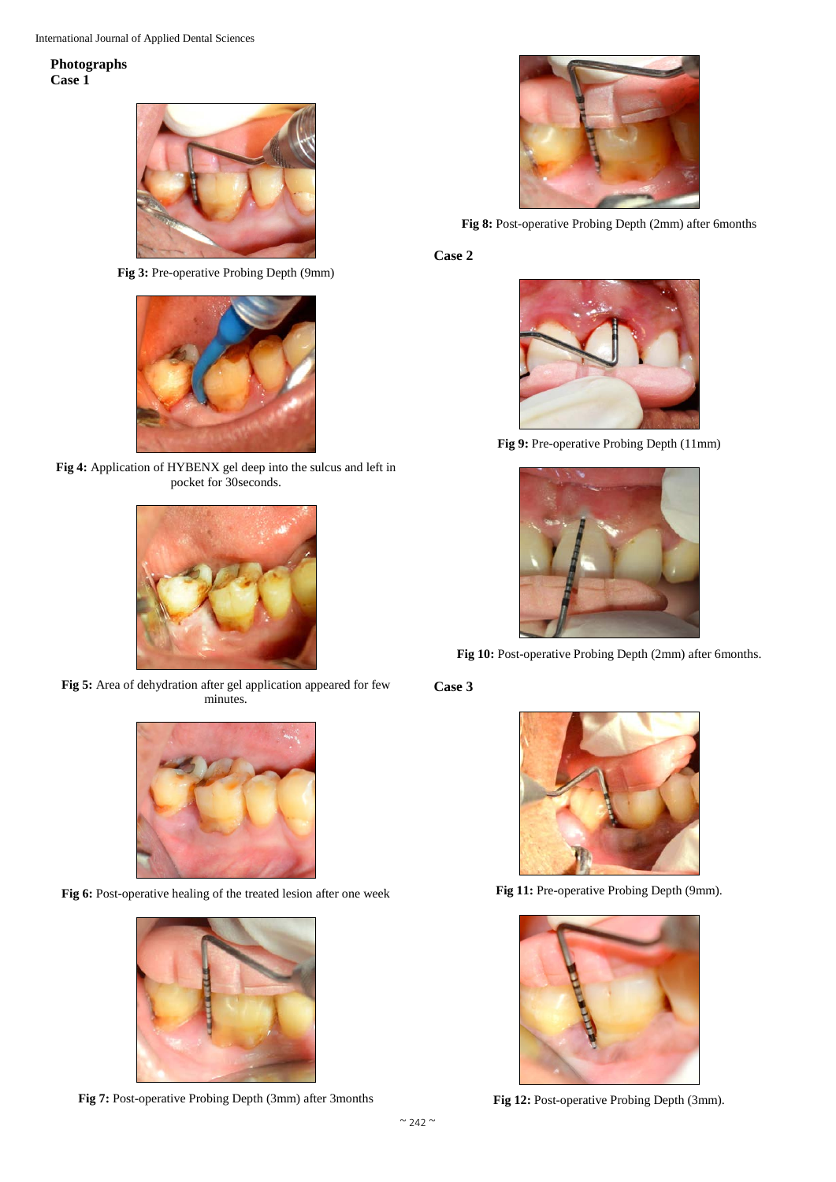International Journal of Applied Dental Sciences

# **Photographs Case 1**



**Fig 3:** Pre-operative Probing Depth (9mm)



**Fig 4:** Application of HYBENX gel deep into the sulcus and left in pocket for 30seconds.



**Fig 5:** Area of dehydration after gel application appeared for few minutes.



Fig 6: Post-operative healing of the treated lesion after one week



**Fig 7:** Post-operative Probing Depth (3mm) after 3months



**Fig 8:** Post-operative Probing Depth (2mm) after 6months

**Case 2**



**Fig 9:** Pre-operative Probing Depth (11mm)



**Fig 10:** Post-operative Probing Depth (2mm) after 6months.

# **Case 3**



Fig 11: Pre-operative Probing Depth (9mm).



**Fig 12:** Post-operative Probing Depth (3mm).